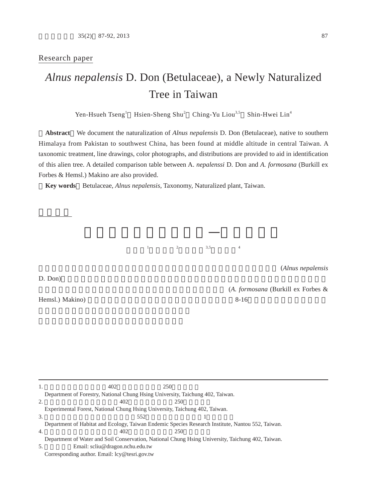Research paper

## *Alnus nepalensis* D. Don (Betulaceae), a Newly Naturalized Tree in Taiwan

Yen-Hsueh Tseng<sup>1</sup> Hsien-Sheng Shu<sup>2</sup> Ching-Yu Liou<sup>3,5</sup> Shin-Hwei Lin<sup>4</sup>

**Abstract** We document the naturalization of *Alnus nepalensis* D. Don (Betulaceae), native to southern Himalaya from Pakistan to southwest China, has been found at middle altitude in central Taiwan. A taxonomic treatment, line drawings, color photographs, and distributions are provided to aid in identification of this alien tree. A detailed comparison table between A. *nepalenssi* D. Don and *A. formosana* (Burkill ex Forbes & Hemsl.) Makino are also provided.

臺灣新歸化樺木科植物—尼泊爾赤楊

 $3,5$  4

**Key words** Betulaceae, *Alnus nepalensis*, Taxonomy, Naturalized plant, Taiwan.

徐憲生<sup>2</sup>

曾彥學<sup>1</sup>

 $D.$  Don),  $\Box$ 

Hemsl.) Makino)  $8-16$ 

【摘要】本文首次報導原產亞洲喜馬拉雅山脈南部及中國大陸西南部的尼泊爾赤楊 (*Alnus nepalensis* 

(A. formosana (Burkill ex Forbes &

|    | 402<br>250                                                                                        |  |  |  |
|----|---------------------------------------------------------------------------------------------------|--|--|--|
|    | Department of Forestry, National Chung Hisng University, Taichung 402, Taiwan.                    |  |  |  |
| 2. | 402<br>250                                                                                        |  |  |  |
|    | Experimental Forest, National Chung Hisng University, Taichung 402, Taiwan.                       |  |  |  |
| 3. | 552                                                                                               |  |  |  |
|    | Department of Habitat and Ecology, Taiwan Endemic Species Research Institute, Nantou 552, Taiwan. |  |  |  |
| 4. | 250<br>402                                                                                        |  |  |  |
|    | Department of Water and Soil Conservation, National Chung Hsing University, Taichung 402, Taiwan. |  |  |  |
| 5. | Email: scliu@dragon.nchu.edu.tw                                                                   |  |  |  |
|    | Corresponding author. Email: lcy@tesri.gov.tw                                                     |  |  |  |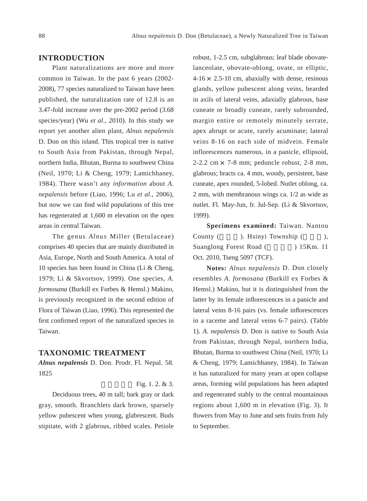## **INTRODUCTION**

Plant naturalizations are more and more common in Taiwan. In the past 6 years (2002- 2008), 77 species naturalized to Taiwan have been published, the naturalization rate of 12.8 is an 3.47-fold increase over the pre-2002 period (3.68 species/year) (Wu *et al*., 2010). In this study we report yet another alien plant, *Alnus nepalensis* D. Don on this island. This tropical tree is native to South Asia from Pakistan, through Nepal, northern India, Bhutan, Burma to southwest China (Neil, 1970; Li & Cheng, 1979; Lamichhaney, 1984). There wasn't any *information* about *A. nepalensis* before (Liao, 1996; Lu *et al*., 2006), but now we can find wild populations of this tree has regenerated at 1,600 m elevation on the open areas in central Taiwan.

The genus *Alnus* Miller (Betulaceae) comprises 40 species that are mainly distributed in Asia, Europe, North and South America. A total of 10 species has been found in China (Li & Cheng, 1979; Li & Skvortsov, 1999). One species, *A. formosana* (Burkill ex Forbes & Hemsl.) Makino, is previously recognized in the second edition of Flora of Taiwan (Liao, 1996). This represented the first confirmed report of the naturalized species in Taiwan.

## **TAXONOMIC TREATMENT**

*Alnus nepalensis* D. Don. Prodr. Fl. Nepal. 58. 1825

Fig. 1. 2. & 3.

Deciduous trees, 40 m tall; bark gray or dark gray, smooth. Branchlets dark brown, sparsely yellow pubescent when young, glabrescent. Buds stipitate, with 2 glabrous, ribbed scales. Petiole

robust, 1-2.5 cm, subglabrous; leaf blade obovatelanceolate, obovate-oblong, ovate, or elliptic,  $4-16 \times 2.5-10$  cm, abaxially with dense, resinous glands, yellow pubescent along veins, bearded in axils of lateral veins, adaxially glabrous, base cuneate or broadly cuneate, rarely subrounded, margin entire or remotely minutely serrate, apex abrupt or acute, rarely acuminate; lateral veins 8-16 on each side of midvein. Female inflorescences numerous, in a panicle, ellipsoid,  $2-2.2$  cm  $\times$  7-8 mm; peduncle robust, 2-8 mm, glabrous; bracts ca. 4 mm, woody, persistent, base cuneate, apex rounded, 5-lobed. Nutlet oblong, ca. 2 mm, with membranous wings ca. 1/2 as wide as nutlet. Fl. May-Jun, fr. Jul-Sep. (Li & Skvortsov, 1999).

**Specimens examined:** Taiwan. Nantou County ( ). Hsinyi Township ( ), Suanglong Forest Road () 15Km. 11 Oct. 2010, Tseng 5097 (TCF).

**Notes:** *Alnus nepalensis* D. Don closely resembles *A. formosana* (Burkill ex Forbes & Hemsl.) Makino, but it is distinguished from the latter by its female inflorescences in a panicle and lateral veins 8-16 pairs (vs. female inflorescences in a raceme and lateral veins 6-7 pairs). (Table 1). *A. nepalensis* D. Don is native to South Asia from Pakistan, through Nepal, northern India, Bhutan, Burma to southwest China (Neil, 1970; Li & Cheng, 1979; Lamichhaney, 1984). In Taiwan it has naturalized for many years at open collapse areas, forming wild populations has been adapted and regenerated stably to the central mountainous regions about 1,600 m in elevation (Fig. 3). It flowers from May to June and sets fruits from July to September.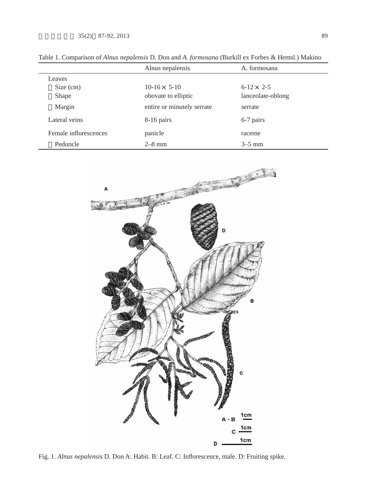|                       | Alnus nepalensis           | A. formosana      |
|-----------------------|----------------------------|-------------------|
| Leaves                |                            |                   |
| Size (cm)             | $10-16 \times 5-10$        | $6-12 \times 2-5$ |
| Shape                 | obovate to elliptic        | lanceolate-oblong |
| Margin                | entire or minutely serrate | serrate           |
| Lateral veins         | 8-16 pairs                 | 6-7 pairs         |
| Female inflorescences | panicle                    | raceme            |
| Peduncle              | $2-8$ mm                   | $3-5$ mm          |

Table 1. Comparison of *Alnus nepalensis* D. Don and *A. formosana* (Burkill ex Forbes & Hemsl.) Makino



Fig. 1. Alnus nepalensis D. Don A: Habit. B: Leaf. C: Inflorescence, male. D: Fruiting spike.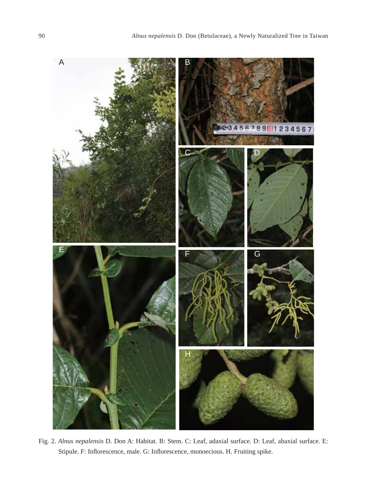

Fig. 2. *Alnus nepalensis* D. Don A: Habitat. B: Stem. C: Leaf, adaxial surface. D: Leaf, abaxial surface. E: Stipule. F: Inflorescence, male. G: Inflorescence, monoecious. H. Fruiting spike.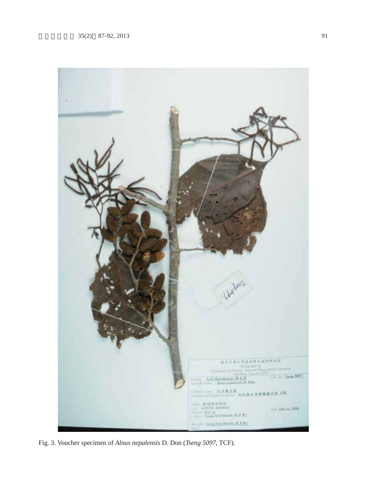

Fig. 3. Voucher specimen of *Alnus nepalensis* D. Don (*Tseng 5097*, TCF).